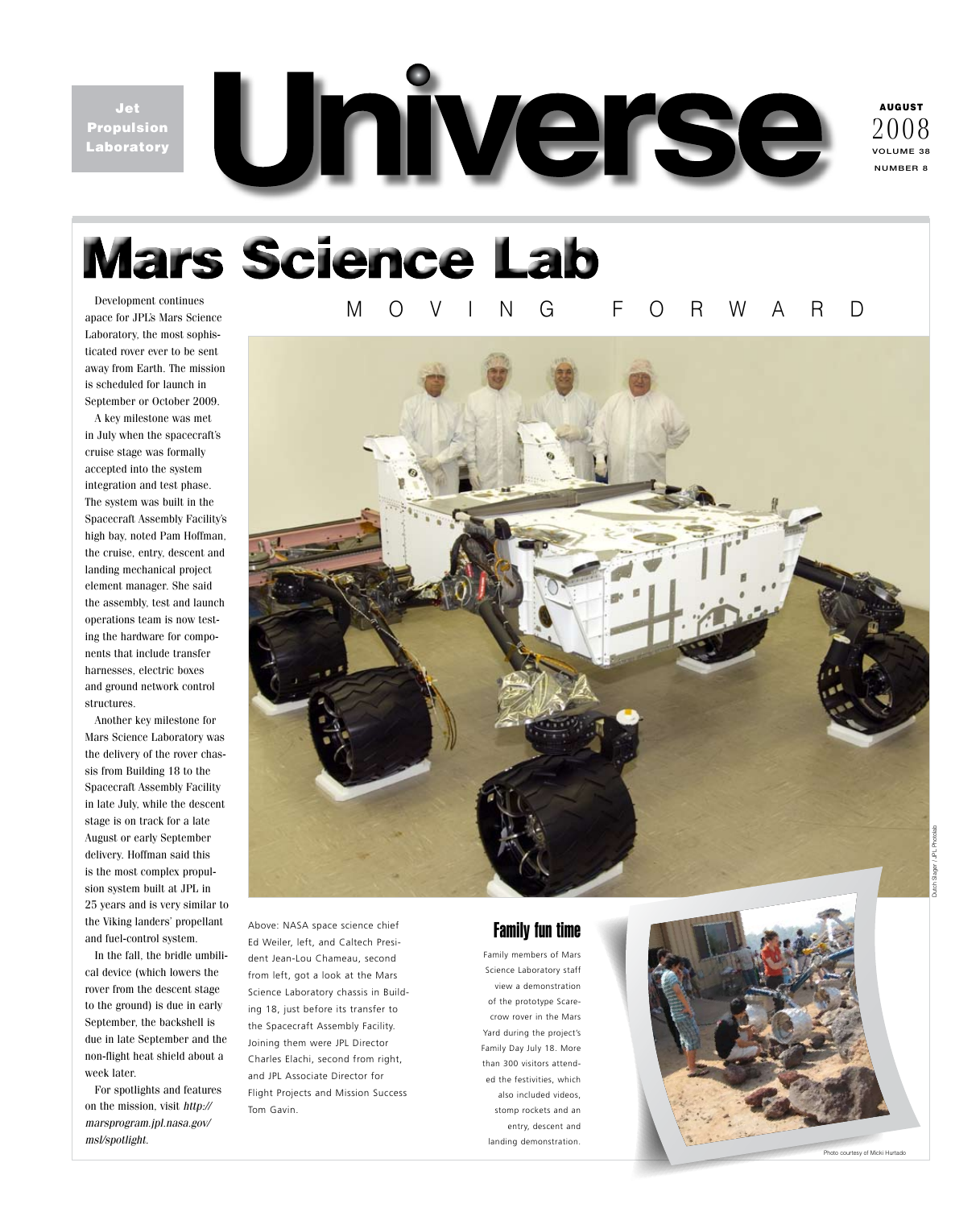Jet Propulsion Laboratory



AUGUST volume 38 number 8 2008

# **Mars Science Lab**

Development continues apace for JPL's Mars Science Laboratory, the most sophisticated rover ever to be sent away from Earth. The mission is scheduled for launch in September or October 2009.

A key milestone was met in July when the spacecraft's cruise stage was formally accepted into the system integration and test phase. The system was built in the Spacecraft Assembly Facility's high bay, noted Pam Hoffman, the cruise, entry, descent and landing mechanical project element manager. She said the assembly, test and launch operations team is now testing the hardware for components that include transfer harnesses, electric boxes and ground network control structures.

Another key milestone for Mars Science Laboratory was the delivery of the rover chassis from Building 18 to the Spacecraft Assembly Facility in late July, while the descent stage is on track for a late August or early September delivery. Hoffman said this is the most complex propulsion system built at JPL in 25 years and is very similar to the Viking landers' propellant and fuel-control system.

In the fall, the bridle umbilical device (which lowers the rover from the descent stage to the ground) is due in early September, the backshell is due in late September and the non-flight heat shield about a week later.

For spotlights and features on the mission, visit *http:// marsprogram.jpl.nasa.gov/ msl/spotlight.* 

# moving . forward



Above: NASA space science chief Ed Weiler, left, and Caltech President Jean-Lou Chameau, second from left, got a look at the Mars Science Laboratory chassis in Building 18, just before its transfer to the Spacecraft Assembly Facility. Joining them were JPL Director Charles Elachi, second from right, and JPL Associate Director for Flight Projects and Mission Success Tom Gavin.

# Family fun time

Family members of Mars Science Laboratory staff view a demonstration of the prototype Scarecrow rover in the Mars Yard during the project's Family Day July 18. More than 300 visitors attended the festivities, which also included videos, stomp rockets and an entry, descent and landing demonstration.

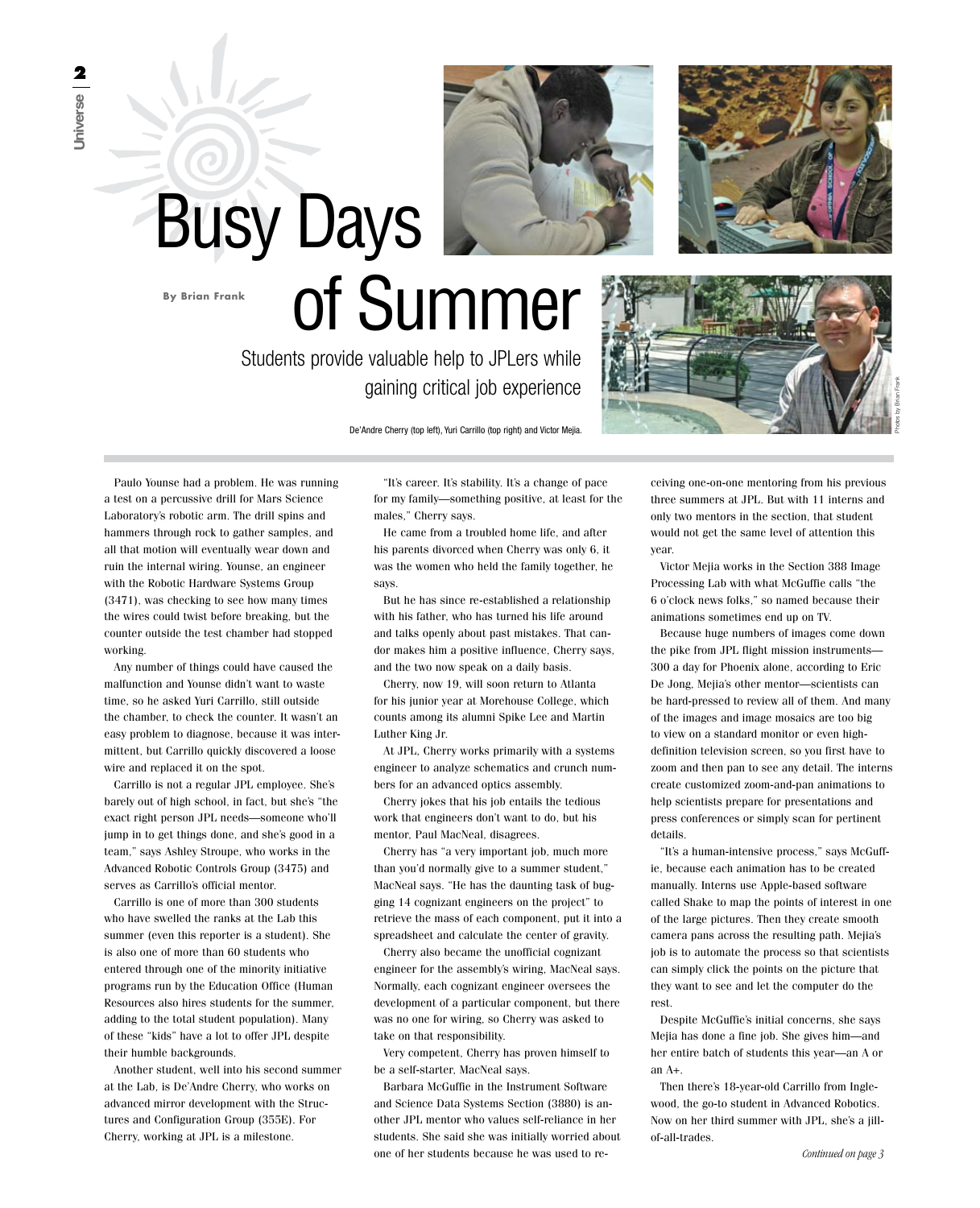



Photos by Brian Frank

De'Andre Cherry (top left), Yuri Carrillo (top right) and Victor Mejia.

gaining critical job experience

Students provide valuable help to JPLers while

of Summer

Paulo Younse had a problem. He was running a test on a percussive drill for Mars Science Laboratory's robotic arm. The drill spins and hammers through rock to gather samples, and all that motion will eventually wear down and ruin the internal wiring. Younse, an engineer with the Robotic Hardware Systems Group (3471), was checking to see how many times the wires could twist before breaking, but the counter outside the test chamber had stopped working.

**By Brian Frank**

Busy Days

Any number of things could have caused the malfunction and Younse didn't want to waste time, so he asked Yuri Carrillo, still outside the chamber, to check the counter. It wasn't an easy problem to diagnose, because it was intermittent, but Carrillo quickly discovered a loose wire and replaced it on the spot.

Carrillo is not a regular JPL employee. She's barely out of high school, in fact, but she's "the exact right person JPL needs—someone who'll jump in to get things done, and she's good in a team," says Ashley Stroupe, who works in the Advanced Robotic Controls Group (3475) and serves as Carrillo's official mentor.

Carrillo is one of more than 300 students who have swelled the ranks at the Lab this summer (even this reporter is a student). She is also one of more than 60 students who entered through one of the minority initiative programs run by the Education Office (Human Resources also hires students for the summer, adding to the total student population). Many of these "kids" have a lot to offer JPL despite their humble backgrounds.

Another student, well into his second summer at the Lab, is De'Andre Cherry, who works on advanced mirror development with the Structures and Configuration Group (355E). For Cherry, working at JPL is a milestone.

"It's career. It's stability. It's a change of pace for my family—something positive, at least for the males," Cherry says.

He came from a troubled home life, and after his parents divorced when Cherry was only 6, it was the women who held the family together, he says.

But he has since re-established a relationship with his father, who has turned his life around and talks openly about past mistakes. That candor makes him a positive influence, Cherry says, and the two now speak on a daily basis.

Cherry, now 19, will soon return to Atlanta for his junior year at Morehouse College, which counts among its alumni Spike Lee and Martin Luther King Jr.

At JPL, Cherry works primarily with a systems engineer to analyze schematics and crunch numbers for an advanced optics assembly.

Cherry jokes that his job entails the tedious work that engineers don't want to do, but his mentor, Paul MacNeal, disagrees.

Cherry has "a very important job, much more than you'd normally give to a summer student," MacNeal says. "He has the daunting task of bugging 14 cognizant engineers on the project" to retrieve the mass of each component, put it into a spreadsheet and calculate the center of gravity.

Cherry also became the unofficial cognizant engineer for the assembly's wiring, MacNeal says. Normally, each cognizant engineer oversees the development of a particular component, but there was no one for wiring, so Cherry was asked to take on that responsibility.

Very competent, Cherry has proven himself to be a self-starter, MacNeal says.

Barbara McGuffie in the Instrument Software and Science Data Systems Section (3880) is another JPL mentor who values self-reliance in her students. She said she was initially worried about one of her students because he was used to re-

ceiving one-on-one mentoring from his previous three summers at JPL. But with 11 interns and only two mentors in the section, that student would not get the same level of attention this year.

Victor Mejia works in the Section 388 Image Processing Lab with what McGuffie calls "the 6 o'clock news folks," so named because their animations sometimes end up on TV.

Because huge numbers of images come down the pike from JPL flight mission instruments— 300 a day for Phoenix alone, according to Eric De Jong, Mejia's other mentor—scientists can be hard-pressed to review all of them. And many of the images and image mosaics are too big to view on a standard monitor or even highdefinition television screen, so you first have to zoom and then pan to see any detail. The interns create customized zoom-and-pan animations to help scientists prepare for presentations and press conferences or simply scan for pertinent details.

"It's a human-intensive process," says McGuffie, because each animation has to be created manually. Interns use Apple-based software called Shake to map the points of interest in one of the large pictures. Then they create smooth camera pans across the resulting path. Mejia's job is to automate the process so that scientists can simply click the points on the picture that they want to see and let the computer do the rest.

Despite McGuffie's initial concerns, she says Mejia has done a fine job. She gives him—and her entire batch of students this year—an A or an A+.

Then there's 18-year-old Carrillo from Inglewood, the go-to student in Advanced Robotics. Now on her third summer with JPL, she's a jillof-all-trades.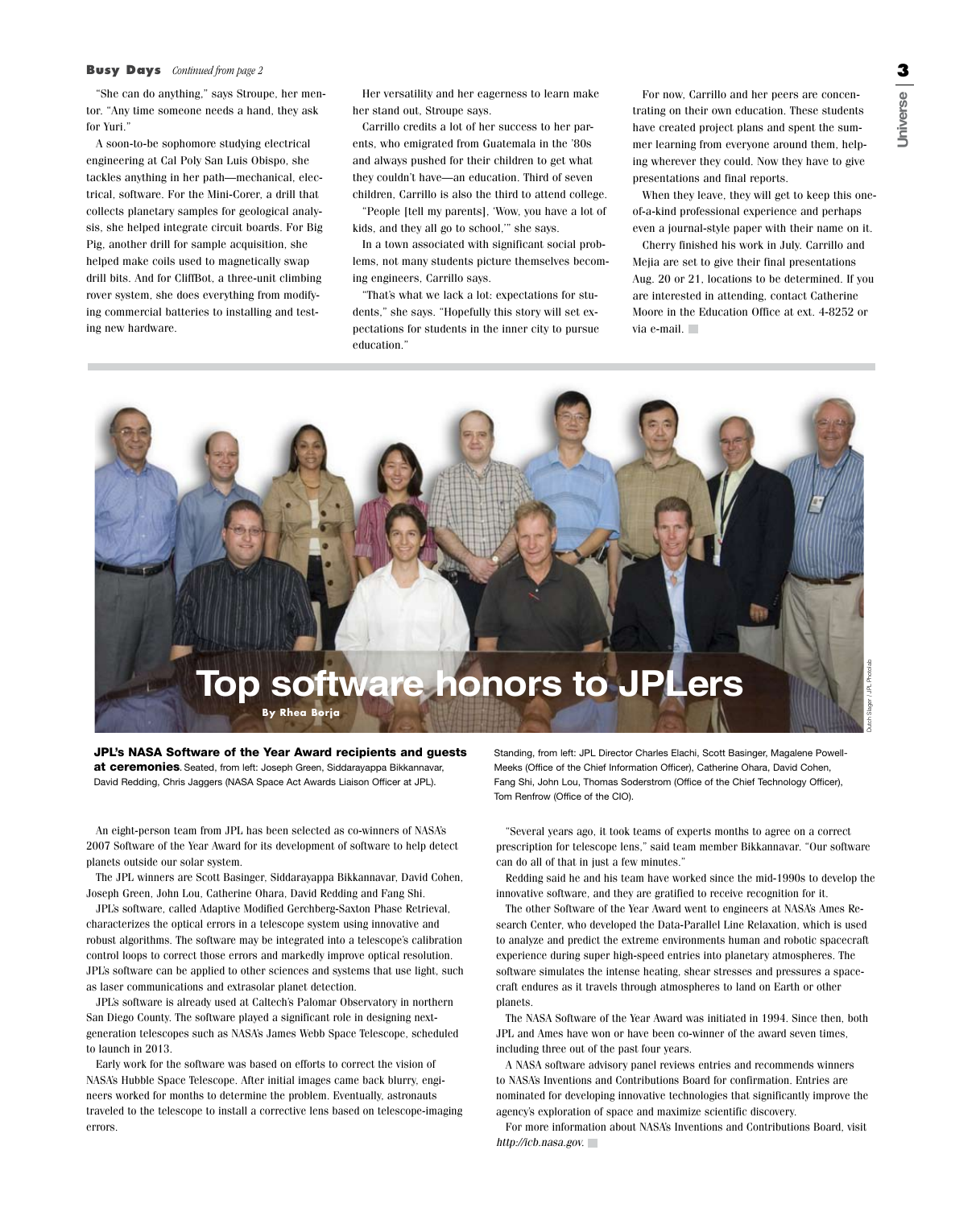### **Busy Days** *Continued from page 2*

"She can do anything," says Stroupe, her mentor. "Any time someone needs a hand, they ask for Yuri."

A soon-to-be sophomore studying electrical engineering at Cal Poly San Luis Obispo, she tackles anything in her path—mechanical, electrical, software. For the Mini-Corer, a drill that collects planetary samples for geological analysis, she helped integrate circuit boards. For Big Pig, another drill for sample acquisition, she helped make coils used to magnetically swap drill bits. And for CliffBot, a three-unit climbing rover system, she does everything from modifying commercial batteries to installing and testing new hardware.

Her versatility and her eagerness to learn make her stand out, Stroupe says.

Carrillo credits a lot of her success to her parents, who emigrated from Guatemala in the '80s and always pushed for their children to get what they couldn't have—an education. Third of seven children, Carrillo is also the third to attend college.

"People [tell my parents], 'Wow, you have a lot of kids, and they all go to school,'" she says.

In a town associated with significant social problems, not many students picture themselves becoming engineers, Carrillo says.

"That's what we lack a lot: expectations for students," she says. "Hopefully this story will set expectations for students in the inner city to pursue education."

For now, Carrillo and her peers are concentrating on their own education. These students have created project plans and spent the summer learning from everyone around them, helping wherever they could. Now they have to give presentations and final reports.

When they leave, they will get to keep this oneof-a-kind professional experience and perhaps even a journal-style paper with their name on it.

Cherry finished his work in July. Carrillo and Mejia are set to give their final presentations Aug. 20 or 21, locations to be determined. If you are interested in attending, contact Catherine Moore in the Education Office at ext. 4-8252 or via e-mail.



JPL's NASA Software of the Year Award recipients and guests at ceremonies**.** Seated, from left: Joseph Green, Siddarayappa Bikkannavar, David Redding, Chris Jaggers (NASA Space Act Awards Liaison Officer at JPL).

An eight-person team from JPL has been selected as co-winners of NASA's 2007 Software of the Year Award for its development of software to help detect planets outside our solar system.

The JPL winners are Scott Basinger, Siddarayappa Bikkannavar, David Cohen, Joseph Green, John Lou, Catherine Ohara, David Redding and Fang Shi.

JPL's software, called Adaptive Modified Gerchberg-Saxton Phase Retrieval, characterizes the optical errors in a telescope system using innovative and robust algorithms. The software may be integrated into a telescope's calibration control loops to correct those errors and markedly improve optical resolution. JPL's software can be applied to other sciences and systems that use light, such as laser communications and extrasolar planet detection.

JPL's software is already used at Caltech's Palomar Observatory in northern San Diego County. The software played a significant role in designing nextgeneration telescopes such as NASA's James Webb Space Telescope, scheduled to launch in 2013.

Early work for the software was based on efforts to correct the vision of NASA's Hubble Space Telescope. After initial images came back blurry, engineers worked for months to determine the problem. Eventually, astronauts traveled to the telescope to install a corrective lens based on telescope-imaging errors.

Standing, from left: JPL Director Charles Elachi, Scott Basinger, Magalene Powell-Meeks (Office of the Chief Information Officer), Catherine Ohara, David Cohen, Fang Shi, John Lou, Thomas Soderstrom (Office of the Chief Technology Officer), Tom Renfrow (Office of the CIO).

"Several years ago, it took teams of experts months to agree on a correct prescription for telescope lens," said team member Bikkannavar. "Our software can do all of that in just a few minutes."

Redding said he and his team have worked since the mid-1990s to develop the innovative software, and they are gratified to receive recognition for it.

The other Software of the Year Award went to engineers at NASA's Ames Research Center, who developed the Data-Parallel Line Relaxation, which is used to analyze and predict the extreme environments human and robotic spacecraft experience during super high-speed entries into planetary atmospheres. The software simulates the intense heating, shear stresses and pressures a spacecraft endures as it travels through atmospheres to land on Earth or other planets.

The NASA Software of the Year Award was initiated in 1994. Since then, both JPL and Ames have won or have been co-winner of the award seven times, including three out of the past four years.

A NASA software advisory panel reviews entries and recommends winners to NASA's Inventions and Contributions Board for confirmation. Entries are nominated for developing innovative technologies that significantly improve the agency's exploration of space and maximize scientific discovery.

For more information about NASA's Inventions and Contributions Board, visit *http://icb.nasa.gov.*

**U**